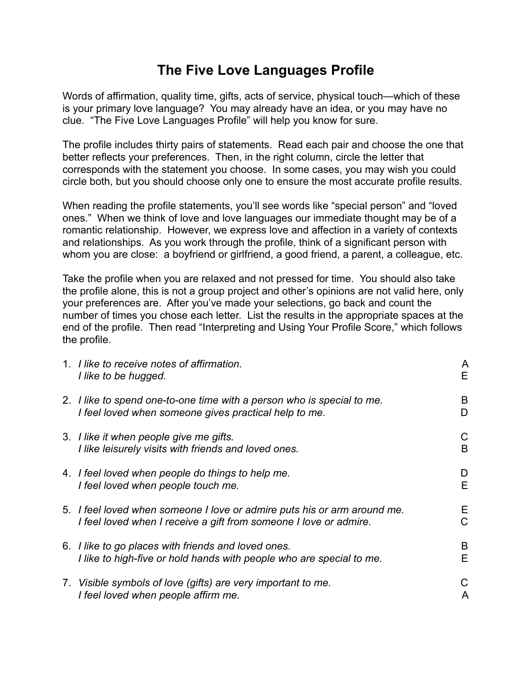## **The Five Love Languages Profile**

Words of affirmation, quality time, gifts, acts of service, physical touch—which of these is your primary love language? You may already have an idea, or you may have no clue. "The Five Love Languages Profile" will help you know for sure.

The profile includes thirty pairs of statements. Read each pair and choose the one that better reflects your preferences. Then, in the right column, circle the letter that corresponds with the statement you choose. In some cases, you may wish you could circle both, but you should choose only one to ensure the most accurate profile results.

When reading the profile statements, you'll see words like "special person" and "loved ones." When we think of love and love languages our immediate thought may be of a romantic relationship. However, we express love and affection in a variety of contexts and relationships. As you work through the profile, think of a significant person with whom you are close: a boyfriend or girlfriend, a good friend, a parent, a colleague, etc.

Take the profile when you are relaxed and not pressed for time. You should also take the profile alone, this is not a group project and other's opinions are not valid here, only your preferences are. After you've made your selections, go back and count the number of times you chose each letter. List the results in the appropriate spaces at the end of the profile. Then read "Interpreting and Using Your Profile Score," which follows the profile.

| 1. I like to receive notes of affirmation.<br>I like to be hugged.                                                                            | A<br>Е  |
|-----------------------------------------------------------------------------------------------------------------------------------------------|---------|
| 2. I like to spend one-to-one time with a person who is special to me.<br>I feel loved when someone gives practical help to me.               | B<br>D  |
| 3. I like it when people give me gifts.<br>I like leisurely visits with friends and loved ones.                                               | C<br>B  |
| 4. I feel loved when people do things to help me.<br>I feel loved when people touch me.                                                       | D<br>E. |
| 5. I feel loved when someone I love or admire puts his or arm around me.<br>I feel loved when I receive a gift from someone I love or admire. | Е<br>C  |
| 6. I like to go places with friends and loved ones.<br>I like to high-five or hold hands with people who are special to me.                   | B<br>Е  |
| 7. Visible symbols of love (gifts) are very important to me.<br>I feel loved when people affirm me.                                           | С<br>A  |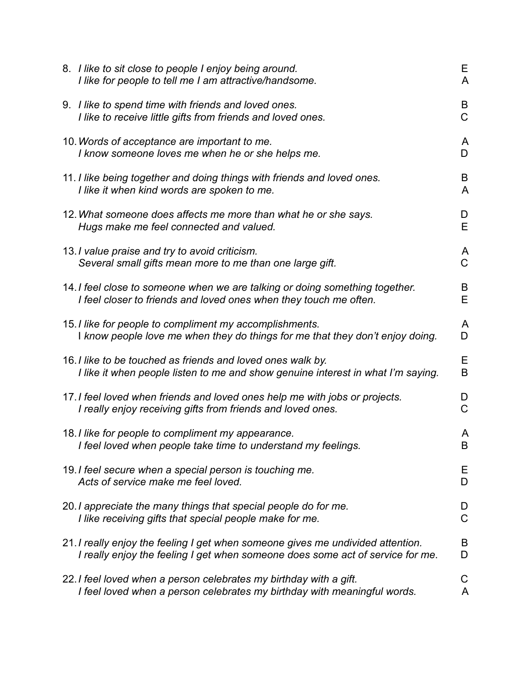| 8. I like to sit close to people I enjoy being around.<br>I like for people to tell me I am attractive/handsome.                                                  | Е<br>A              |
|-------------------------------------------------------------------------------------------------------------------------------------------------------------------|---------------------|
| 9. I like to spend time with friends and loved ones.<br>I like to receive little gifts from friends and loved ones.                                               | B<br>$\mathsf C$    |
| 10. Words of acceptance are important to me.<br>I know someone loves me when he or she helps me.                                                                  | A<br>D              |
| 11. I like being together and doing things with friends and loved ones.<br>I like it when kind words are spoken to me.                                            | B<br>$\overline{A}$ |
| 12. What someone does affects me more than what he or she says.<br>Hugs make me feel connected and valued.                                                        | D<br>E              |
| 13. I value praise and try to avoid criticism.<br>Several small gifts mean more to me than one large gift.                                                        | A<br>$\mathsf C$    |
| 14. I feel close to someone when we are talking or doing something together.<br>I feel closer to friends and loved ones when they touch me often.                 | B<br>E              |
| 15. I like for people to compliment my accomplishments.<br>I know people love me when they do things for me that they don't enjoy doing.                          | A<br>D              |
| 16. I like to be touched as friends and loved ones walk by.<br>I like it when people listen to me and show genuine interest in what I'm saying.                   | E<br>$\sf B$        |
| 17. I feel loved when friends and loved ones help me with jobs or projects.<br>I really enjoy receiving gifts from friends and loved ones.                        | D<br>$\mathsf C$    |
| 18. I like for people to compliment my appearance.<br>I feel loved when people take time to understand my feelings.                                               | A<br>B              |
| 19. I feel secure when a special person is touching me.<br>Acts of service make me feel loved.                                                                    | Е<br>D              |
| 20. I appreciate the many things that special people do for me.<br>I like receiving gifts that special people make for me.                                        | D<br>$\overline{C}$ |
| 21. I really enjoy the feeling I get when someone gives me undivided attention.<br>I really enjoy the feeling I get when someone does some act of service for me. | B<br>D              |
| 22. I feel loved when a person celebrates my birthday with a gift.<br>I feel loved when a person celebrates my birthday with meaningful words.                    | C<br>A              |